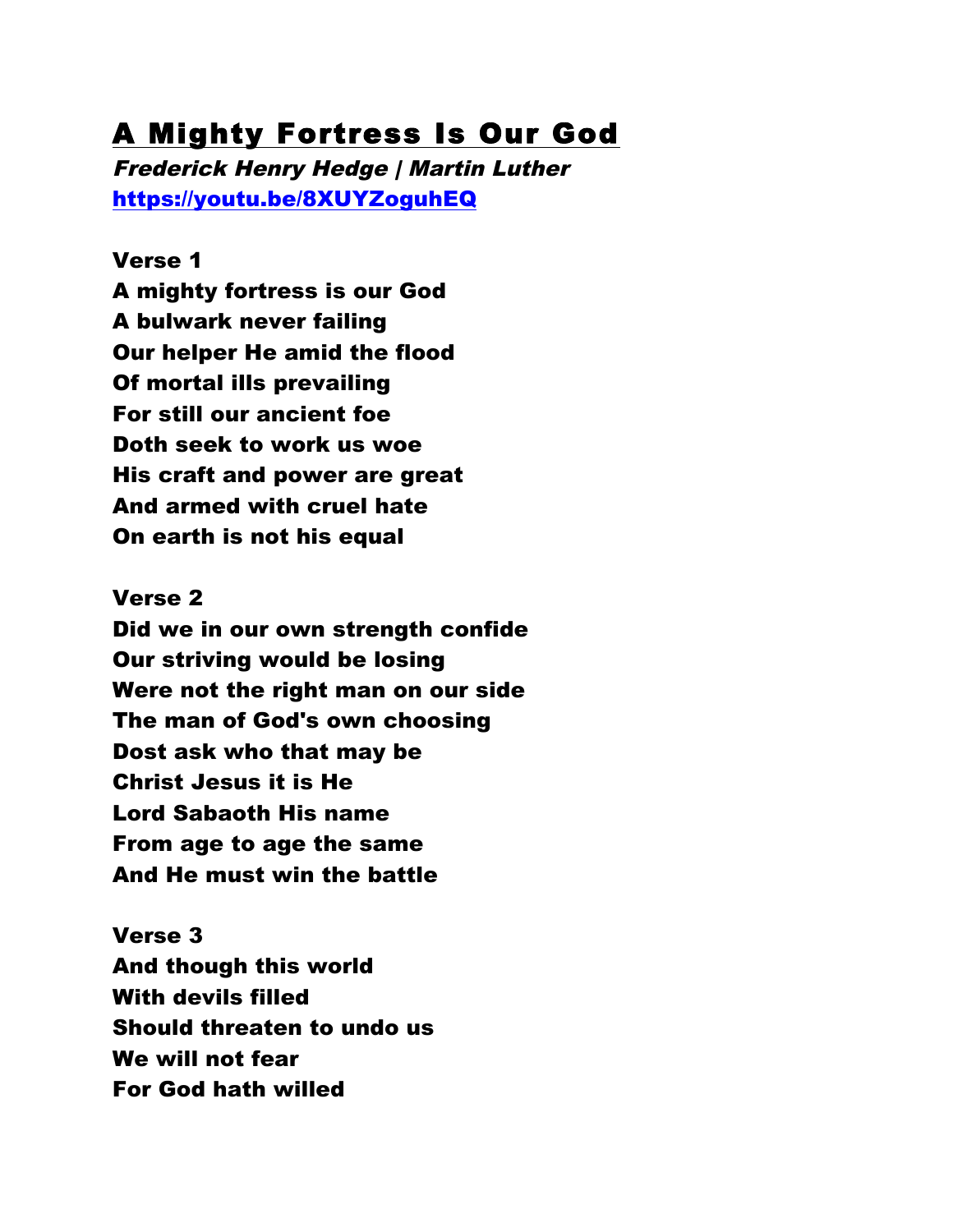# A Mighty Fortress Is Our God

Frederick Henry Hedge | Martin Luther https://youtu.be/8XUYZoguhEQ

Verse 1 A mighty fortress is our God A bulwark never failing Our helper He amid the flood Of mortal ills prevailing For still our ancient foe Doth seek to work us woe His craft and power are great And armed with cruel hate On earth is not his equal

Verse 2 Did we in our own strength confide Our striving would be losing Were not the right man on our side The man of God's own choosing Dost ask who that may be Christ Jesus it is He Lord Sabaoth His name From age to age the same And He must win the battle

Verse 3 And though this world With devils filled Should threaten to undo us We will not fear For God hath willed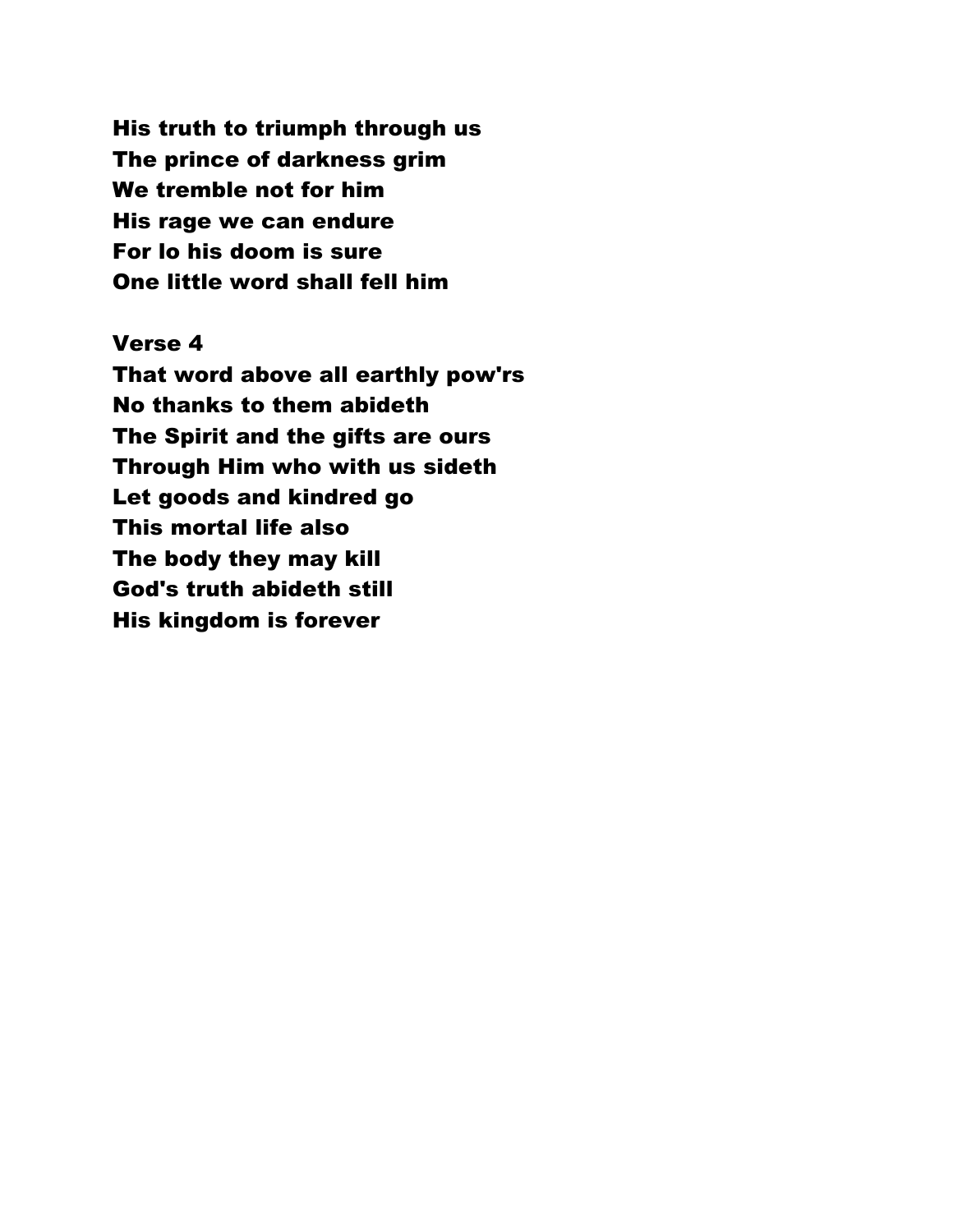His truth to triumph through us The prince of darkness grim We tremble not for him His rage we can endure For lo his doom is sure One little word shall fell him

Verse 4 That word above all earthly pow'rs No thanks to them abideth The Spirit and the gifts are ours Through Him who with us sideth Let goods and kindred go This mortal life also The body they may kill God's truth abideth still His kingdom is forever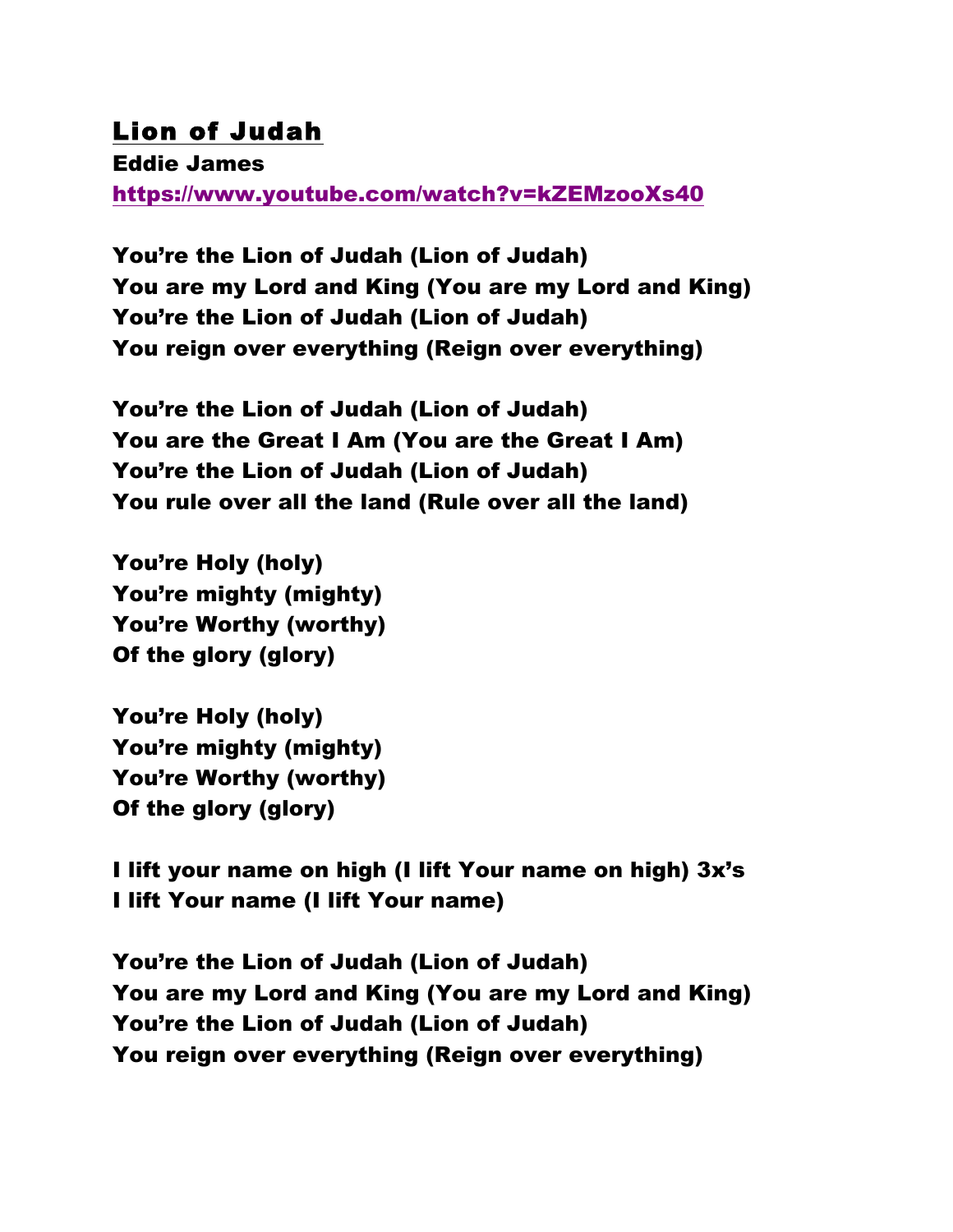## Lion of Judah

Eddie James https://www.youtube.com/watch?v=kZEMzooXs40

You're the Lion of Judah (Lion of Judah) You are my Lord and King (You are my Lord and King) You're the Lion of Judah (Lion of Judah) You reign over everything (Reign over everything)

You're the Lion of Judah (Lion of Judah) You are the Great I Am (You are the Great I Am) You're the Lion of Judah (Lion of Judah) You rule over all the land (Rule over all the land)

You're Holy (holy) You're mighty (mighty) You're Worthy (worthy) Of the glory (glory)

You're Holy (holy) You're mighty (mighty) You're Worthy (worthy) Of the glory (glory)

I lift your name on high (I lift Your name on high) 3x's I lift Your name (I lift Your name)

You're the Lion of Judah (Lion of Judah) You are my Lord and King (You are my Lord and King) You're the Lion of Judah (Lion of Judah) You reign over everything (Reign over everything)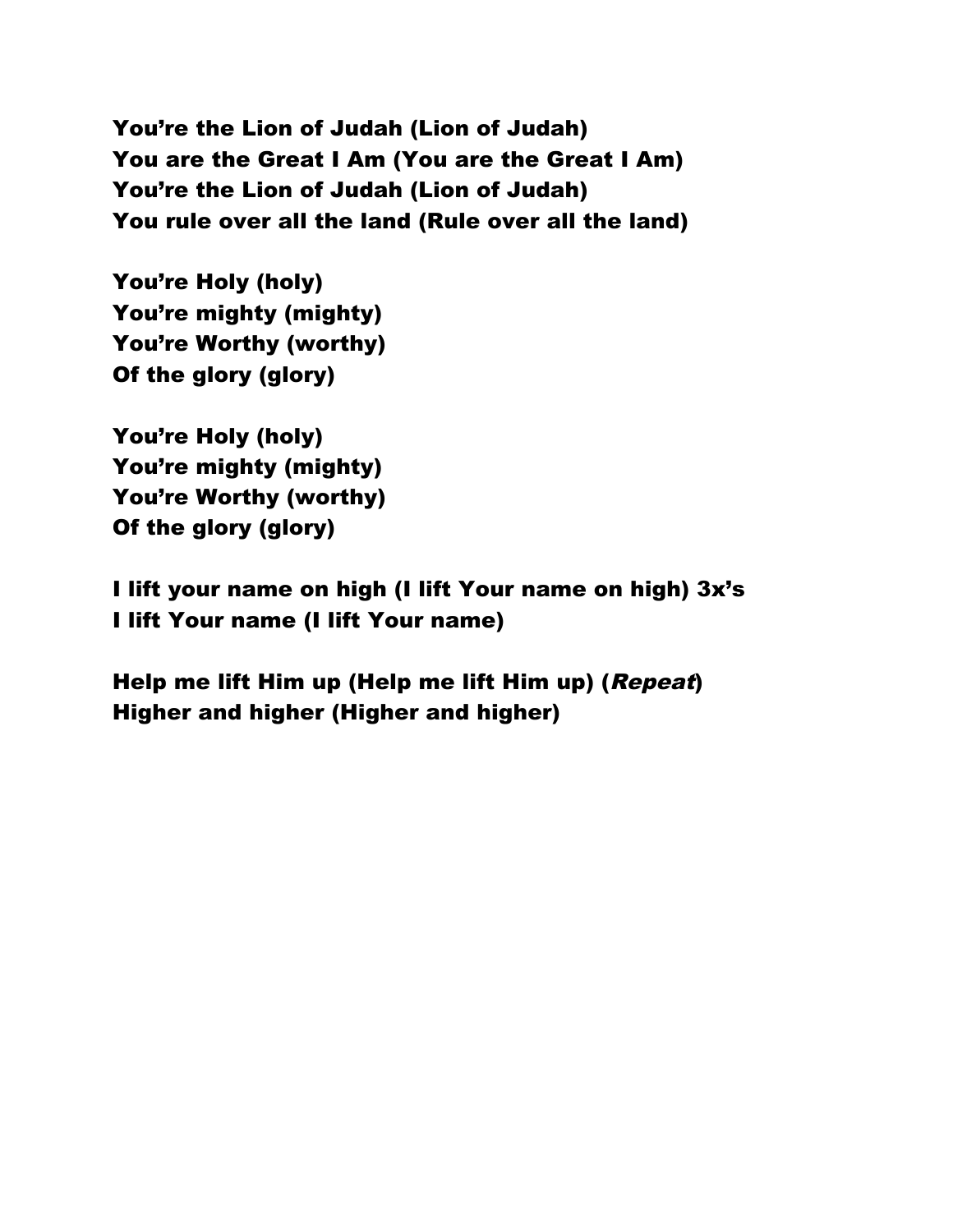You're the Lion of Judah (Lion of Judah) You are the Great I Am (You are the Great I Am) You're the Lion of Judah (Lion of Judah) You rule over all the land (Rule over all the land)

You're Holy (holy) You're mighty (mighty) You're Worthy (worthy) Of the glory (glory)

You're Holy (holy) You're mighty (mighty) You're Worthy (worthy) Of the glory (glory)

I lift your name on high (I lift Your name on high) 3x's I lift Your name (I lift Your name)

Help me lift Him up (Help me lift Him up) (Repeat) Higher and higher (Higher and higher)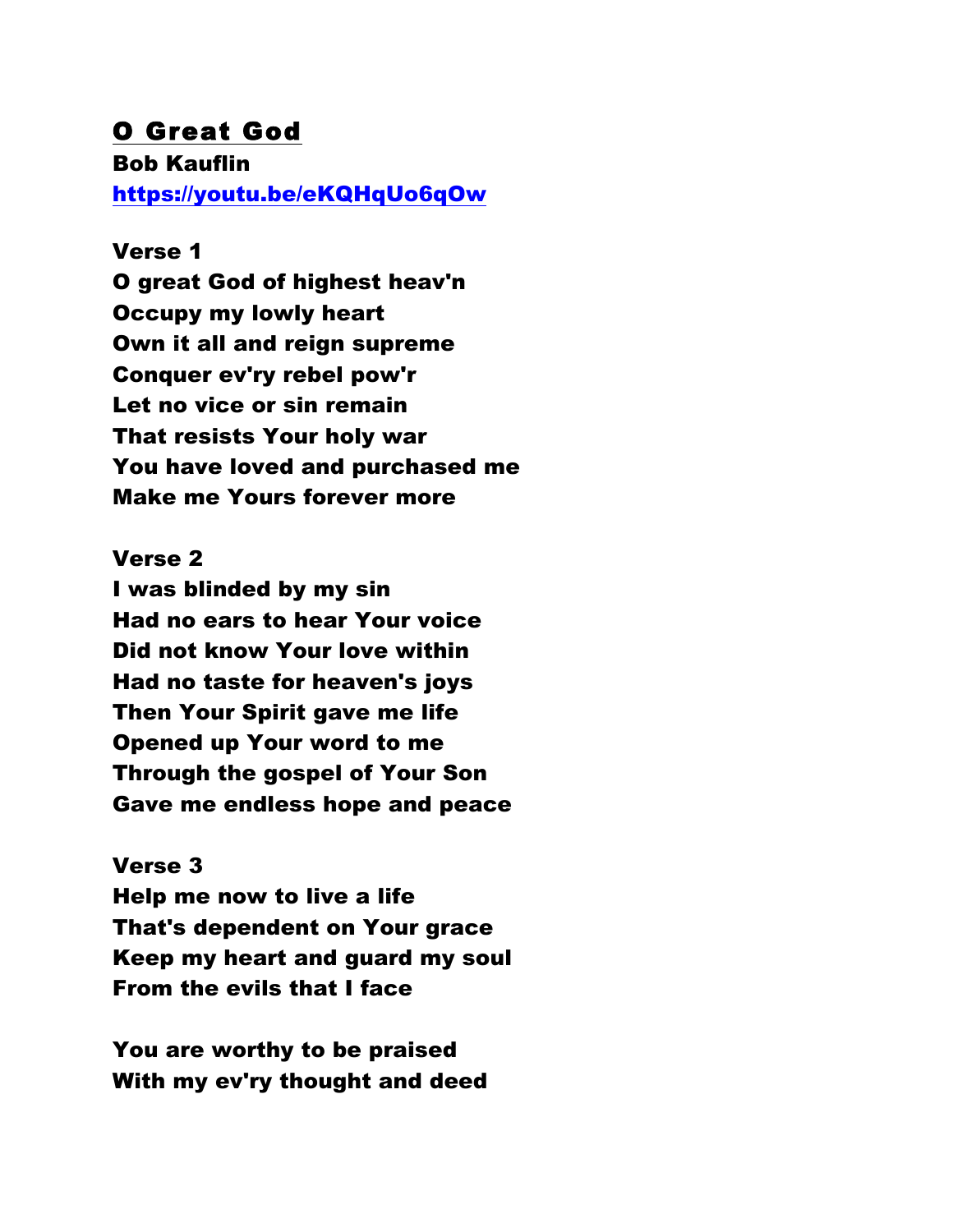## O Great God

Bob Kauflin https://youtu.be/eKQHqUo6qOw

### Verse 1

O great God of highest heav'n Occupy my lowly heart Own it all and reign supreme Conquer ev'ry rebel pow'r Let no vice or sin remain That resists Your holy war You have loved and purchased me Make me Yours forever more

#### Verse 2

I was blinded by my sin Had no ears to hear Your voice Did not know Your love within Had no taste for heaven's joys Then Your Spirit gave me life Opened up Your word to me Through the gospel of Your Son Gave me endless hope and peace

### Verse 3

Help me now to live a life That's dependent on Your grace Keep my heart and guard my soul From the evils that I face

You are worthy to be praised With my ev'ry thought and deed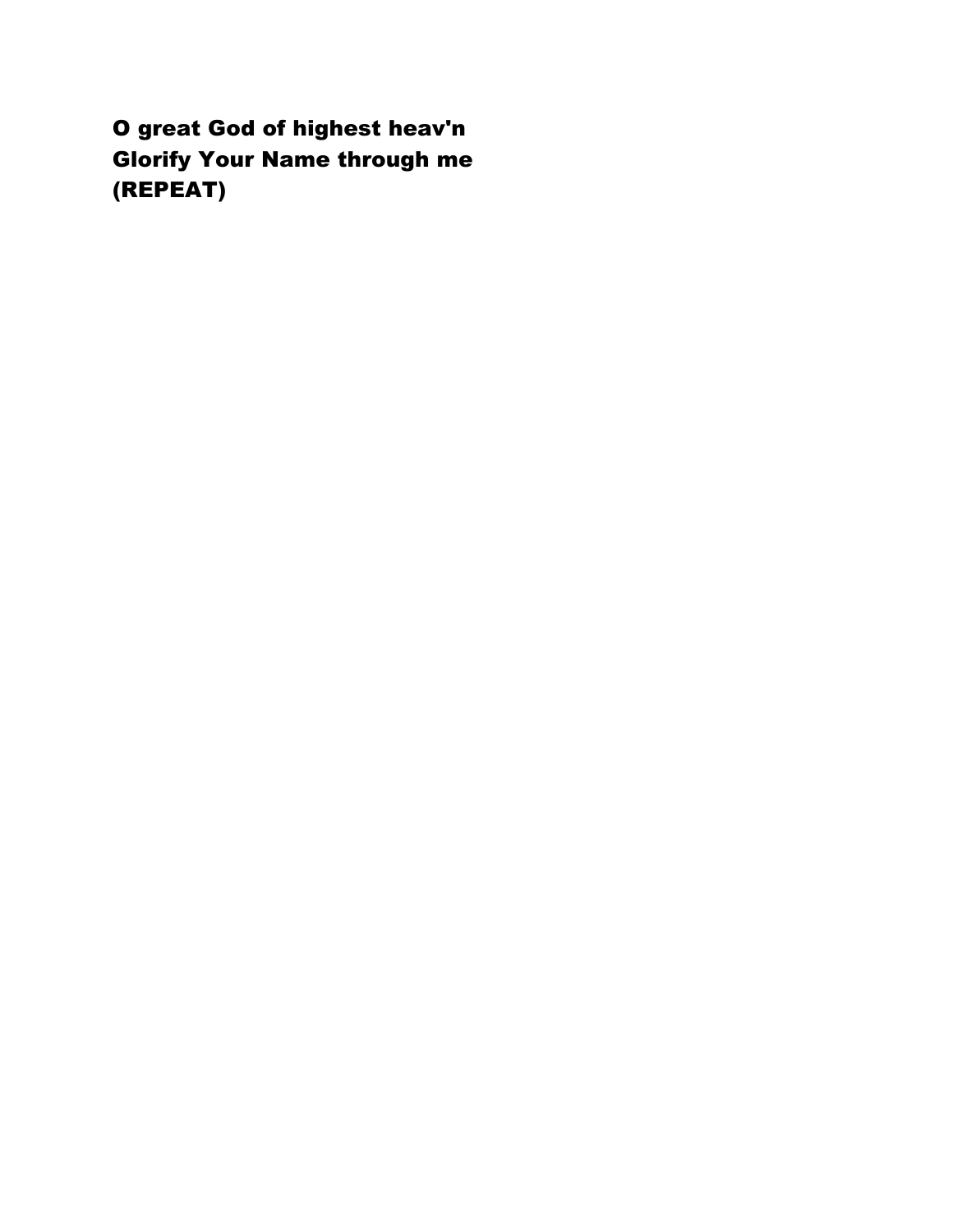O great God of highest heav'n Glorify Your Name through me (REPEAT)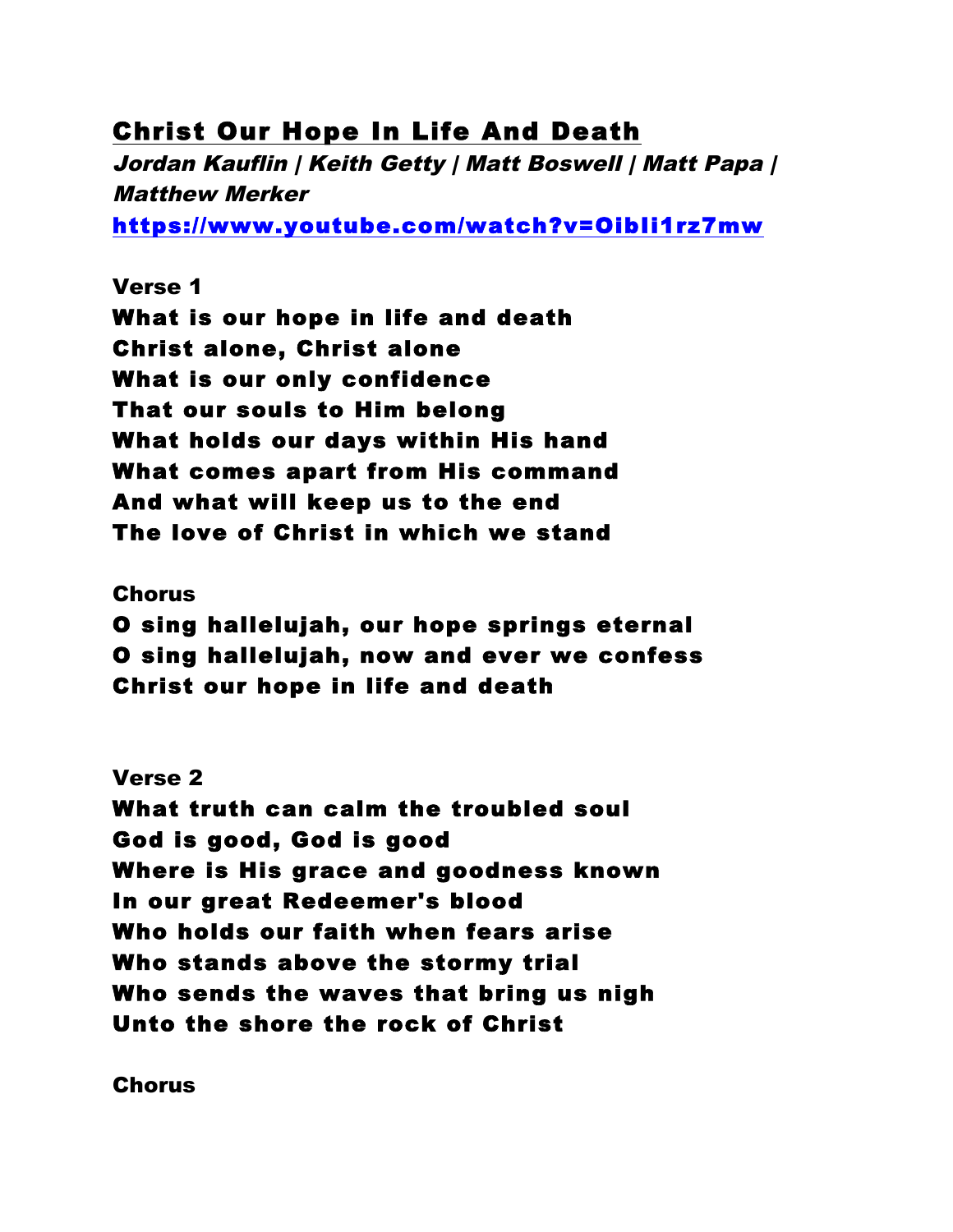## Christ Our Hope In Life And Death

Jordan Kauflin | Keith Getty | Matt Boswell | Matt Papa | Matthew Merker

https://www.youtube.com/watch?v=OibIi1rz7mw

### Verse 1

What is our hope in life and death Christ alone, Christ alone What is our only confidence That our souls to Him belong What holds our days within His hand What comes apart from His command And what will keep us to the end The love of Christ in which we stand

#### Chorus

O sing hallelujah, our hope springs eternal O sing hallelujah, now and ever we confess Christ our hope in life and death

### Verse 2

What truth can calm the troubled soul God is good, God is good Where is His grace and goodness known In our great Redeemer's blood Who holds our faith when fears arise Who stands above the stormy trial Who sends the waves that bring us nigh Unto the shore the rock of Christ

Chorus